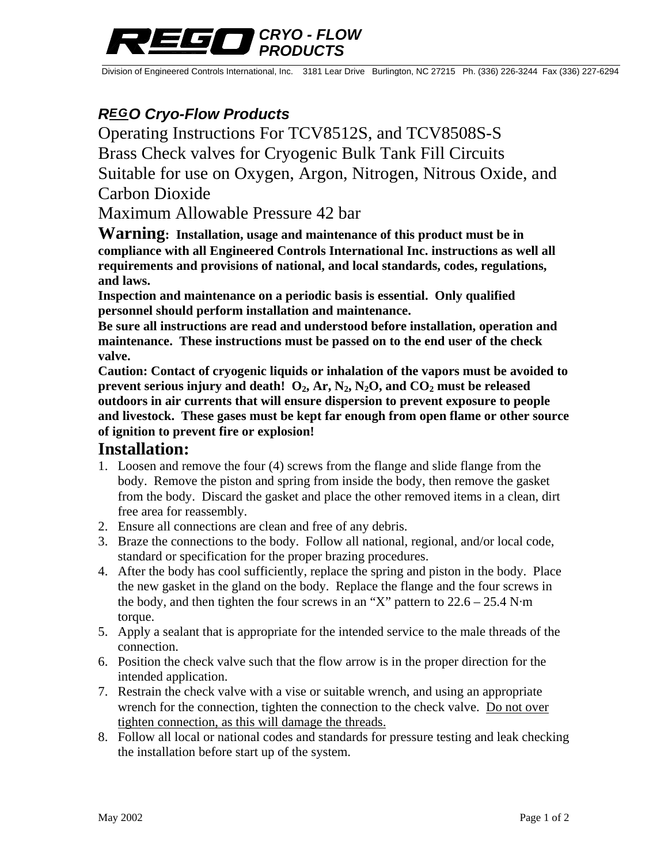# *CRYO - FLOW PRODUCTS*

Division of Engineered Controls International, Inc. 3181 Lear Drive Burlington, NC 27215 Ph. (336) 226-3244 Fax (336) 227-6294

# *REGO Cryo-Flow Products*

Operating Instructions For TCV8512S, and TCV8508S-S Brass Check valves for Cryogenic Bulk Tank Fill Circuits Suitable for use on Oxygen, Argon, Nitrogen, Nitrous Oxide, and Carbon Dioxide

Maximum Allowable Pressure 42 bar

**Warning: Installation, usage and maintenance of this product must be in compliance with all Engineered Controls International Inc. instructions as well all requirements and provisions of national, and local standards, codes, regulations, and laws.** 

**Inspection and maintenance on a periodic basis is essential. Only qualified personnel should perform installation and maintenance.** 

**Be sure all instructions are read and understood before installation, operation and maintenance. These instructions must be passed on to the end user of the check valve.** 

**Caution: Contact of cryogenic liquids or inhalation of the vapors must be avoided to prevent serious injury and death!**  $O_2$ ,  $Ar$ ,  $N_2$ ,  $N_2O$ , and  $CO_2$  must be released **outdoors in air currents that will ensure dispersion to prevent exposure to people and livestock. These gases must be kept far enough from open flame or other source of ignition to prevent fire or explosion!** 

#### **Installation:**

- 1. Loosen and remove the four (4) screws from the flange and slide flange from the body. Remove the piston and spring from inside the body, then remove the gasket from the body. Discard the gasket and place the other removed items in a clean, dirt free area for reassembly.
- 2. Ensure all connections are clean and free of any debris.
- 3. Braze the connections to the body. Follow all national, regional, and/or local code, standard or specification for the proper brazing procedures.
- 4. After the body has cool sufficiently, replace the spring and piston in the body. Place the new gasket in the gland on the body. Replace the flange and the four screws in the body, and then tighten the four screws in an "X" pattern to  $22.6 - 25.4$  N·m torque.
- 5. Apply a sealant that is appropriate for the intended service to the male threads of the connection.
- 6. Position the check valve such that the flow arrow is in the proper direction for the intended application.
- 7. Restrain the check valve with a vise or suitable wrench, and using an appropriate wrench for the connection, tighten the connection to the check valve. Do not over tighten connection, as this will damage the threads.
- 8. Follow all local or national codes and standards for pressure testing and leak checking the installation before start up of the system.